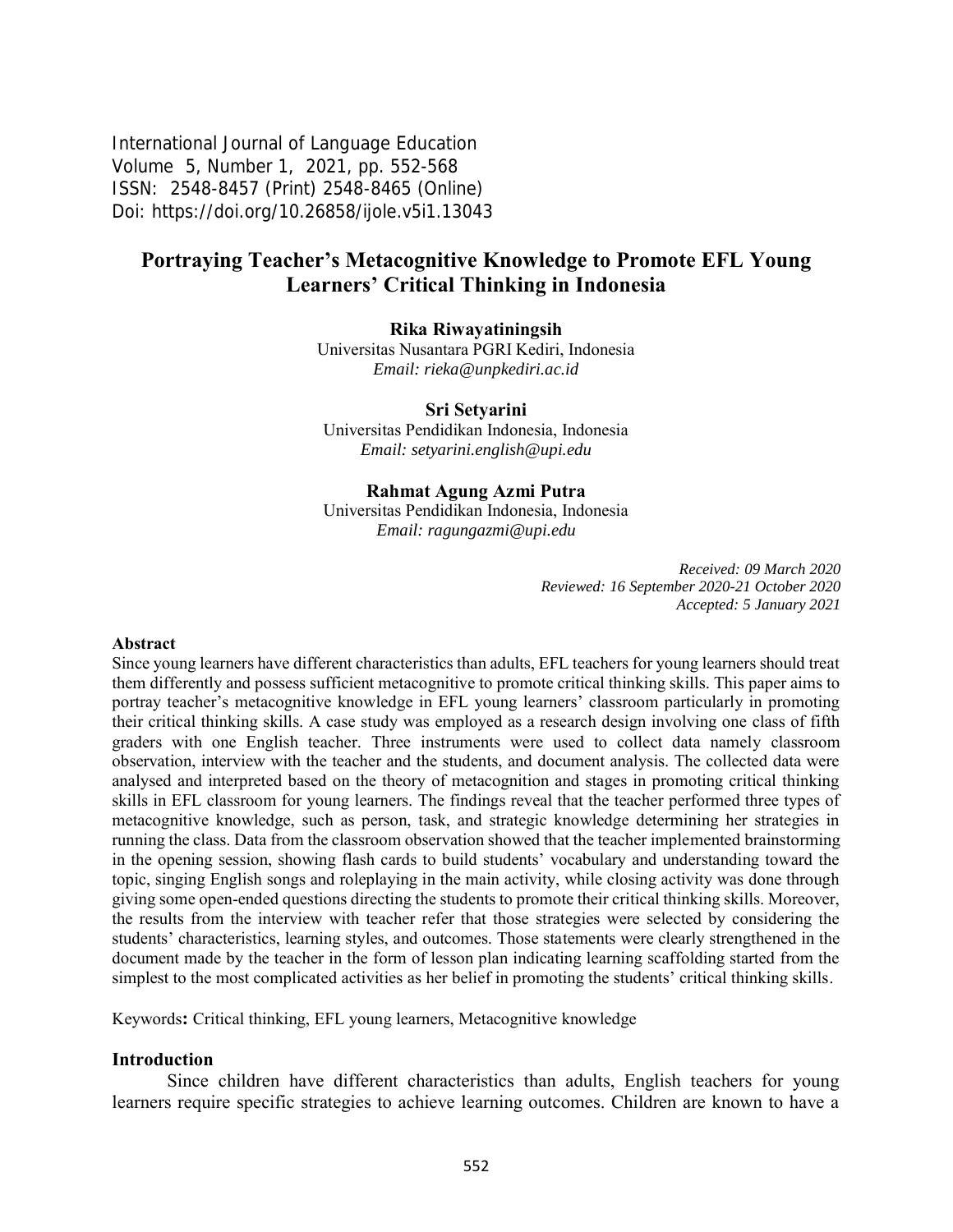International Journal of Language Education Volume 5, Number 1, 2021, pp. 552-568 ISSN: 2548-8457 (Print) 2548-8465 (Online) Doi: <https://doi.org/10.26858/ijole.v5i1.13043>

# **Portraying Teacher's Metacognitive Knowledge to Promote EFL Young Learners' Critical Thinking in Indonesia**

#### **Rika Riwayatiningsih**

Universitas Nusantara PGRI Kediri, Indonesia *Email: rieka@unpkediri.ac.id* 

#### **Sri Setyarini**

Universitas Pendidikan Indonesia, Indonesia *Email: setyarini.english@upi.edu* 

#### **Rahmat Agung Azmi Putra**

Universitas Pendidikan Indonesia, Indonesia *Email: ragungazmi@upi.edu*

> *Received: 09 March 2020 Reviewed: 16 September 2020-21 October 2020 Accepted: 5 January 2021*

#### **Abstract**

Since young learners have different characteristics than adults, EFL teachers for young learners should treat them differently and possess sufficient metacognitive to promote critical thinking skills. This paper aims to portray teacher's metacognitive knowledge in EFL young learners' classroom particularly in promoting their critical thinking skills. A case study was employed as a research design involving one class of fifth graders with one English teacher. Three instruments were used to collect data namely classroom observation, interview with the teacher and the students, and document analysis. The collected data were analysed and interpreted based on the theory of metacognition and stages in promoting critical thinking skills in EFL classroom for young learners. The findings reveal that the teacher performed three types of metacognitive knowledge, such as person, task, and strategic knowledge determining her strategies in running the class. Data from the classroom observation showed that the teacher implemented brainstorming in the opening session, showing flash cards to build students' vocabulary and understanding toward the topic, singing English songs and roleplaying in the main activity, while closing activity was done through giving some open-ended questions directing the students to promote their critical thinking skills. Moreover, the results from the interview with teacher refer that those strategies were selected by considering the students' characteristics, learning styles, and outcomes. Those statements were clearly strengthened in the document made by the teacher in the form of lesson plan indicating learning scaffolding started from the simplest to the most complicated activities as her belief in promoting the students' critical thinking skills.

Keywords**:** Critical thinking, EFL young learners, Metacognitive knowledge

#### **Introduction**

Since children have different characteristics than adults, English teachers for young learners require specific strategies to achieve learning outcomes. Children are known to have a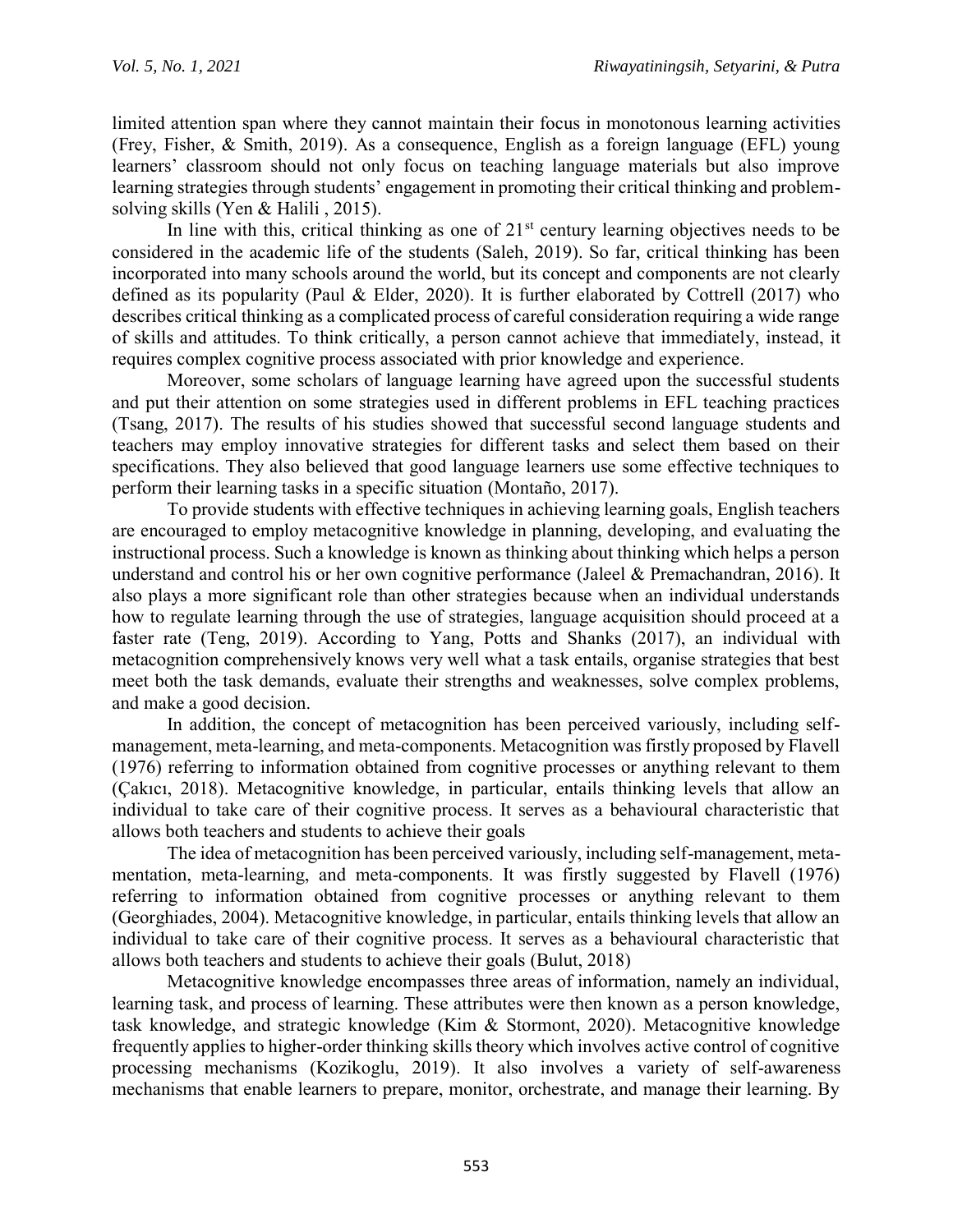limited attention span where they cannot maintain their focus in monotonous learning activities (Frey, Fisher, & Smith, 2019). As a consequence, English as a foreign language (EFL) young learners' classroom should not only focus on teaching language materials but also improve learning strategies through students' engagement in promoting their critical thinking and problemsolving skills (Yen & Halili , 2015).

In line with this, critical thinking as one of  $21<sup>st</sup>$  century learning objectives needs to be considered in the academic life of the students (Saleh, 2019). So far, critical thinking has been incorporated into many schools around the world, but its concept and components are not clearly defined as its popularity (Paul & Elder, 2020). It is further elaborated by Cottrell (2017) who describes critical thinking as a complicated process of careful consideration requiring a wide range of skills and attitudes. To think critically, a person cannot achieve that immediately, instead, it requires complex cognitive process associated with prior knowledge and experience.

Moreover, some scholars of language learning have agreed upon the successful students and put their attention on some strategies used in different problems in EFL teaching practices (Tsang, 2017). The results of his studies showed that successful second language students and teachers may employ innovative strategies for different tasks and select them based on their specifications. They also believed that good language learners use some effective techniques to perform their learning tasks in a specific situation (Montaño, 2017).

To provide students with effective techniques in achieving learning goals, English teachers are encouraged to employ metacognitive knowledge in planning, developing, and evaluating the instructional process. Such a knowledge is known as thinking about thinking which helps a person understand and control his or her own cognitive performance (Jaleel & Premachandran, 2016). It also plays a more significant role than other strategies because when an individual understands how to regulate learning through the use of strategies, language acquisition should proceed at a faster rate (Teng, 2019). According to Yang, Potts and Shanks (2017), an individual with metacognition comprehensively knows very well what a task entails, organise strategies that best meet both the task demands, evaluate their strengths and weaknesses, solve complex problems, and make a good decision.

In addition, the concept of metacognition has been perceived variously, including selfmanagement, meta-learning, and meta-components. Metacognition was firstly proposed by Flavell (1976) referring to information obtained from cognitive processes or anything relevant to them (Çakıcı, 2018). Metacognitive knowledge, in particular, entails thinking levels that allow an individual to take care of their cognitive process. It serves as a behavioural characteristic that allows both teachers and students to achieve their goals

The idea of metacognition has been perceived variously, including self-management, metamentation, meta-learning, and meta-components. It was firstly suggested by Flavell (1976) referring to information obtained from cognitive processes or anything relevant to them (Georghiades, 2004). Metacognitive knowledge, in particular, entails thinking levels that allow an individual to take care of their cognitive process. It serves as a behavioural characteristic that allows both teachers and students to achieve their goals (Bulut, 2018)

Metacognitive knowledge encompasses three areas of information, namely an individual, learning task, and process of learning. These attributes were then known as a person knowledge, task knowledge, and strategic knowledge (Kim & Stormont, 2020). Metacognitive knowledge frequently applies to higher-order thinking skills theory which involves active control of cognitive processing mechanisms (Kozikoglu, 2019). It also involves a variety of self-awareness mechanisms that enable learners to prepare, monitor, orchestrate, and manage their learning. By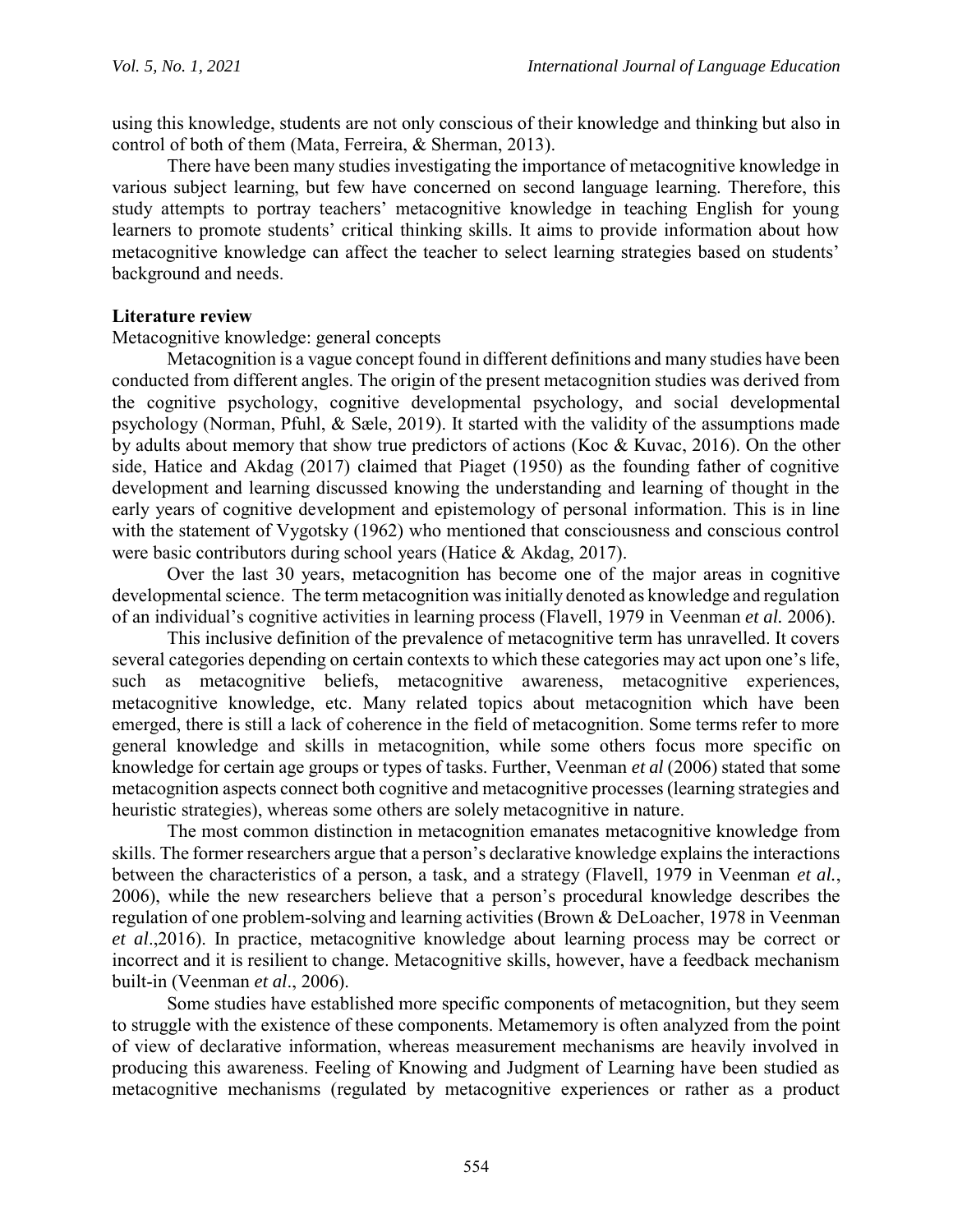using this knowledge, students are not only conscious of their knowledge and thinking but also in control of both of them (Mata, Ferreira, & Sherman, 2013).

There have been many studies investigating the importance of metacognitive knowledge in various subject learning, but few have concerned on second language learning. Therefore, this study attempts to portray teachers' metacognitive knowledge in teaching English for young learners to promote students' critical thinking skills. It aims to provide information about how metacognitive knowledge can affect the teacher to select learning strategies based on students' background and needs.

#### **Literature review**

Metacognitive knowledge: general concepts

Metacognition is a vague concept found in different definitions and many studies have been conducted from different angles. The origin of the present metacognition studies was derived from the cognitive psychology, cognitive developmental psychology, and social developmental psychology (Norman, Pfuhl, & Sæle, 2019). It started with the validity of the assumptions made by adults about memory that show true predictors of actions (Koc & Kuvac, 2016). On the other side, Hatice and Akdag (2017) claimed that Piaget (1950) as the founding father of cognitive development and learning discussed knowing the understanding and learning of thought in the early years of cognitive development and epistemology of personal information. This is in line with the statement of Vygotsky (1962) who mentioned that consciousness and conscious control were basic contributors during school years (Hatice & Akdag, 2017).

Over the last 30 years, metacognition has become one of the major areas in cognitive developmental science. The term metacognition was initially denoted as knowledge and regulation of an individual's cognitive activities in learning process (Flavell, 1979 in Veenman *et al.* 2006).

This inclusive definition of the prevalence of metacognitive term has unravelled. It covers several categories depending on certain contexts to which these categories may act upon one's life, such as metacognitive beliefs, metacognitive awareness, metacognitive experiences, metacognitive knowledge, etc. Many related topics about metacognition which have been emerged, there is still a lack of coherence in the field of metacognition. Some terms refer to more general knowledge and skills in metacognition, while some others focus more specific on knowledge for certain age groups or types of tasks. Further, Veenman *et al* (2006) stated that some metacognition aspects connect both cognitive and metacognitive processes (learning strategies and heuristic strategies), whereas some others are solely metacognitive in nature.

The most common distinction in metacognition emanates metacognitive knowledge from skills. The former researchers argue that a person's declarative knowledge explains the interactions between the characteristics of a person, a task, and a strategy (Flavell, 1979 in Veenman *et al.*, 2006), while the new researchers believe that a person's procedural knowledge describes the regulation of one problem-solving and learning activities (Brown & DeLoacher, 1978 in Veenman *et al*.,2016). In practice, metacognitive knowledge about learning process may be correct or incorrect and it is resilient to change. Metacognitive skills, however, have a feedback mechanism built-in (Veenman *et al*., 2006).

Some studies have established more specific components of metacognition, but they seem to struggle with the existence of these components. Metamemory is often analyzed from the point of view of declarative information, whereas measurement mechanisms are heavily involved in producing this awareness. Feeling of Knowing and Judgment of Learning have been studied as metacognitive mechanisms (regulated by metacognitive experiences or rather as a product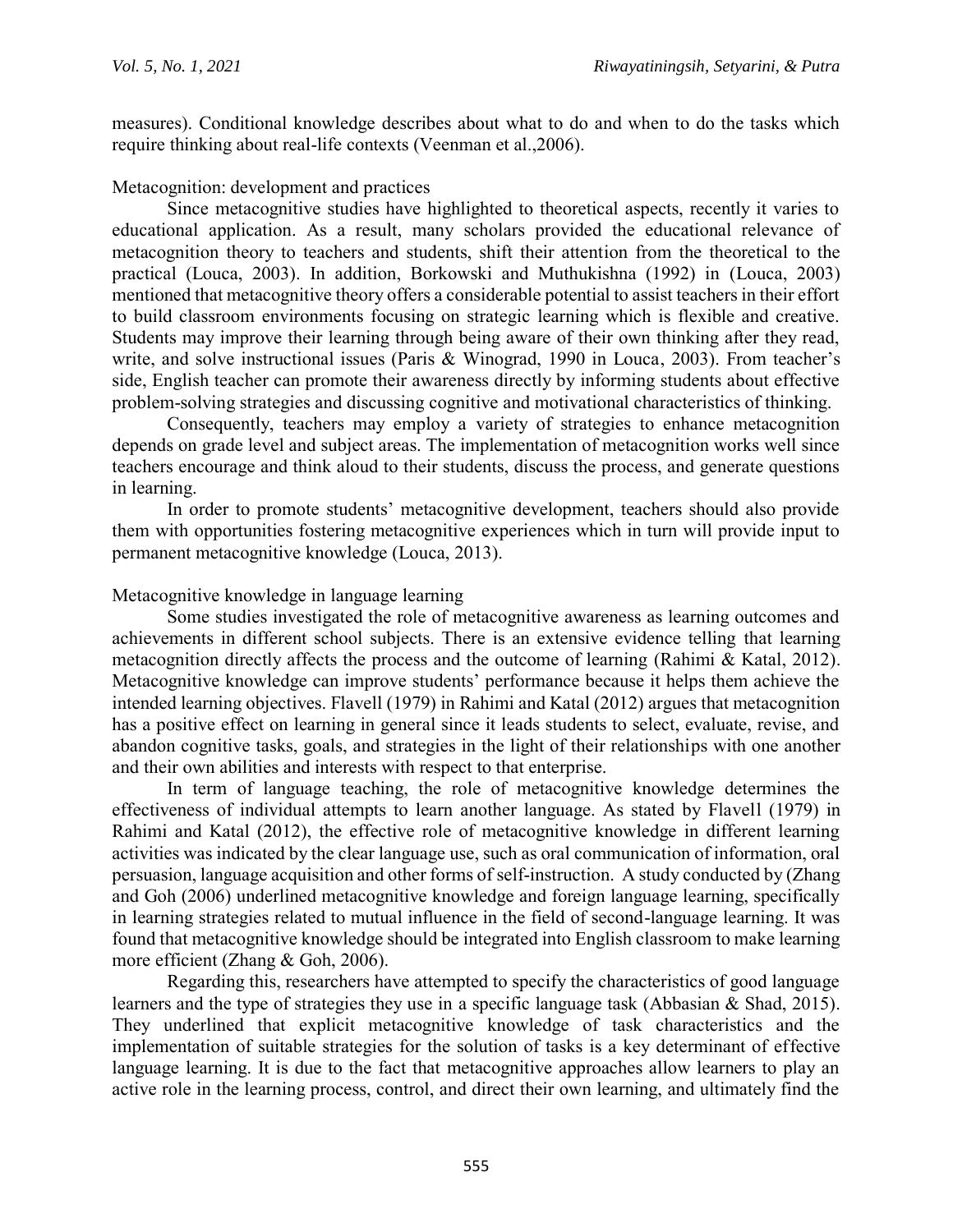measures). Conditional knowledge describes about what to do and when to do the tasks which require thinking about real-life contexts (Veenman et al.,2006).

Metacognition: development and practices

Since metacognitive studies have highlighted to theoretical aspects, recently it varies to educational application. As a result, many scholars provided the educational relevance of metacognition theory to teachers and students, shift their attention from the theoretical to the practical (Louca, 2003). In addition, Borkowski and Muthukishna (1992) in (Louca, 2003) mentioned that metacognitive theory offers a considerable potential to assist teachers in their effort to build classroom environments focusing on strategic learning which is flexible and creative. Students may improve their learning through being aware of their own thinking after they read, write, and solve instructional issues (Paris & Winograd, 1990 in Louca, 2003). From teacher's side, English teacher can promote their awareness directly by informing students about effective problem-solving strategies and discussing cognitive and motivational characteristics of thinking.

Consequently, teachers may employ a variety of strategies to enhance metacognition depends on grade level and subject areas. The implementation of metacognition works well since teachers encourage and think aloud to their students, discuss the process, and generate questions in learning.

In order to promote students' metacognitive development, teachers should also provide them with opportunities fostering metacognitive experiences which in turn will provide input to permanent metacognitive knowledge (Louca, 2013).

#### Metacognitive knowledge in language learning

Some studies investigated the role of metacognitive awareness as learning outcomes and achievements in different school subjects. There is an extensive evidence telling that learning metacognition directly affects the process and the outcome of learning (Rahimi & Katal, 2012). Metacognitive knowledge can improve students' performance because it helps them achieve the intended learning objectives. Flavell (1979) in Rahimi and Katal (2012) argues that metacognition has a positive effect on learning in general since it leads students to select, evaluate, revise, and abandon cognitive tasks, goals, and strategies in the light of their relationships with one another and their own abilities and interests with respect to that enterprise.

In term of language teaching, the role of metacognitive knowledge determines the effectiveness of individual attempts to learn another language. As stated by Flavell (1979) in Rahimi and Katal (2012), the effective role of metacognitive knowledge in different learning activities was indicated by the clear language use, such as oral communication of information, oral persuasion, language acquisition and other forms of self-instruction. A study conducted by (Zhang and Goh (2006) underlined metacognitive knowledge and foreign language learning, specifically in learning strategies related to mutual influence in the field of second-language learning. It was found that metacognitive knowledge should be integrated into English classroom to make learning more efficient (Zhang & Goh, 2006).

Regarding this, researchers have attempted to specify the characteristics of good language learners and the type of strategies they use in a specific language task (Abbasian & Shad, 2015). They underlined that explicit metacognitive knowledge of task characteristics and the implementation of suitable strategies for the solution of tasks is a key determinant of effective language learning. It is due to the fact that metacognitive approaches allow learners to play an active role in the learning process, control, and direct their own learning, and ultimately find the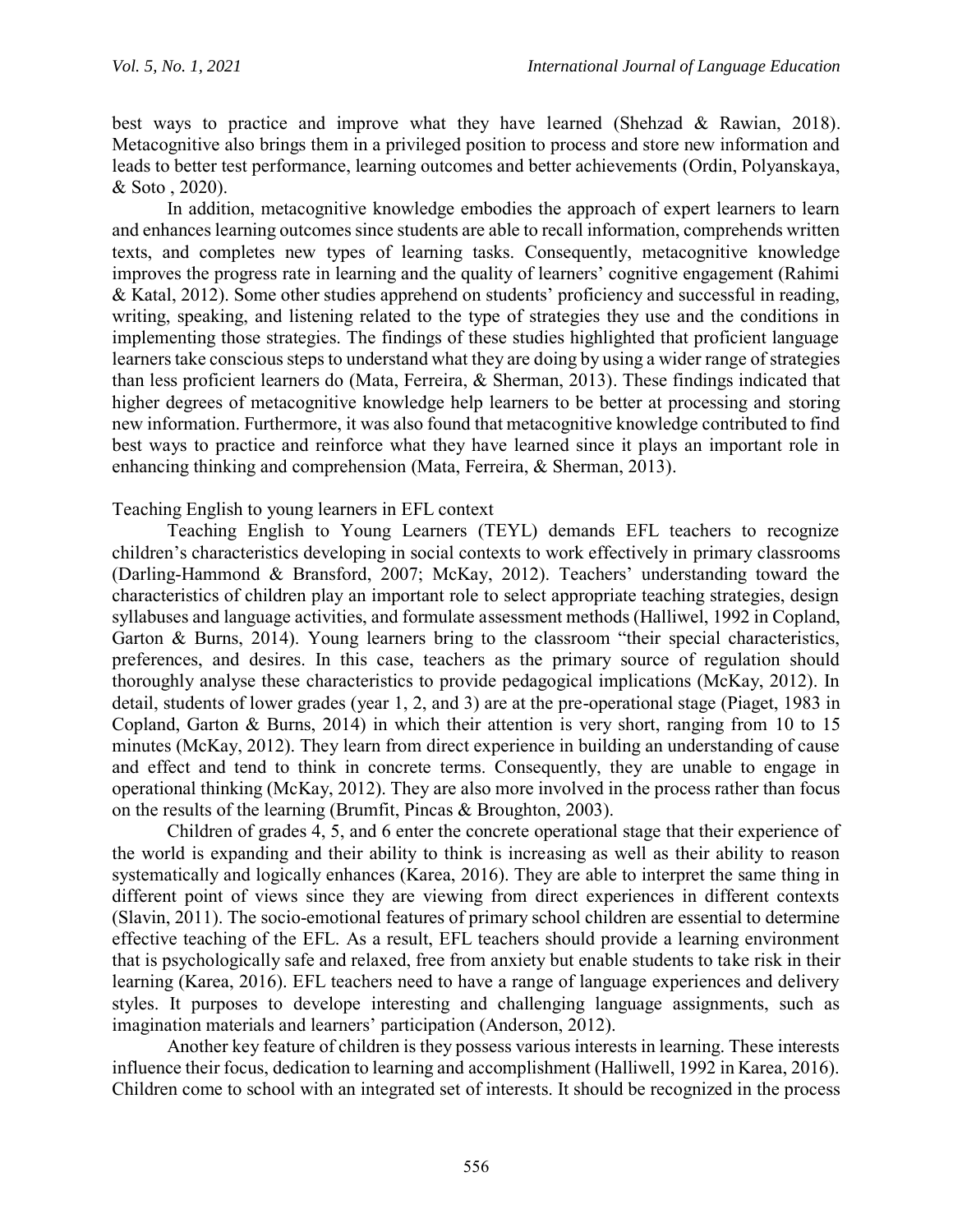best ways to practice and improve what they have learned (Shehzad & Rawian, 2018). Metacognitive also brings them in a privileged position to process and store new information and leads to better test performance, learning outcomes and better achievements (Ordin, Polyanskaya, & Soto , 2020).

In addition, metacognitive knowledge embodies the approach of expert learners to learn and enhances learning outcomes since students are able to recall information, comprehends written texts, and completes new types of learning tasks. Consequently, metacognitive knowledge improves the progress rate in learning and the quality of learners' cognitive engagement (Rahimi & Katal, 2012). Some other studies apprehend on students' proficiency and successful in reading, writing, speaking, and listening related to the type of strategies they use and the conditions in implementing those strategies. The findings of these studies highlighted that proficient language learners take conscious steps to understand what they are doing by using a wider range of strategies than less proficient learners do (Mata, Ferreira, & Sherman, 2013). These findings indicated that higher degrees of metacognitive knowledge help learners to be better at processing and storing new information. Furthermore, it was also found that metacognitive knowledge contributed to find best ways to practice and reinforce what they have learned since it plays an important role in enhancing thinking and comprehension (Mata, Ferreira, & Sherman, 2013).

Teaching English to young learners in EFL context

Teaching English to Young Learners (TEYL) demands EFL teachers to recognize children's characteristics developing in social contexts to work effectively in primary classrooms (Darling-Hammond & Bransford, 2007; McKay, 2012). Teachers' understanding toward the characteristics of children play an important role to select appropriate teaching strategies, design syllabuses and language activities, and formulate assessment methods (Halliwel, 1992 in Copland, Garton & Burns, 2014). Young learners bring to the classroom "their special characteristics, preferences, and desires. In this case, teachers as the primary source of regulation should thoroughly analyse these characteristics to provide pedagogical implications (McKay, 2012). In detail, students of lower grades (year 1, 2, and 3) are at the pre-operational stage (Piaget, 1983 in Copland, Garton & Burns, 2014) in which their attention is very short, ranging from 10 to 15 minutes (McKay, 2012). They learn from direct experience in building an understanding of cause and effect and tend to think in concrete terms. Consequently, they are unable to engage in operational thinking (McKay, 2012). They are also more involved in the process rather than focus on the results of the learning (Brumfit, Pincas & Broughton, 2003).

Children of grades 4, 5, and 6 enter the concrete operational stage that their experience of the world is expanding and their ability to think is increasing as well as their ability to reason systematically and logically enhances (Karea, 2016). They are able to interpret the same thing in different point of views since they are viewing from direct experiences in different contexts (Slavin, 2011). The socio-emotional features of primary school children are essential to determine effective teaching of the EFL. As a result, EFL teachers should provide a learning environment that is psychologically safe and relaxed, free from anxiety but enable students to take risk in their learning (Karea, 2016). EFL teachers need to have a range of language experiences and delivery styles. It purposes to develope interesting and challenging language assignments, such as imagination materials and learners' participation (Anderson, 2012).

Another key feature of children is they possess various interests in learning. These interests influence their focus, dedication to learning and accomplishment (Halliwell, 1992 in Karea, 2016). Children come to school with an integrated set of interests. It should be recognized in the process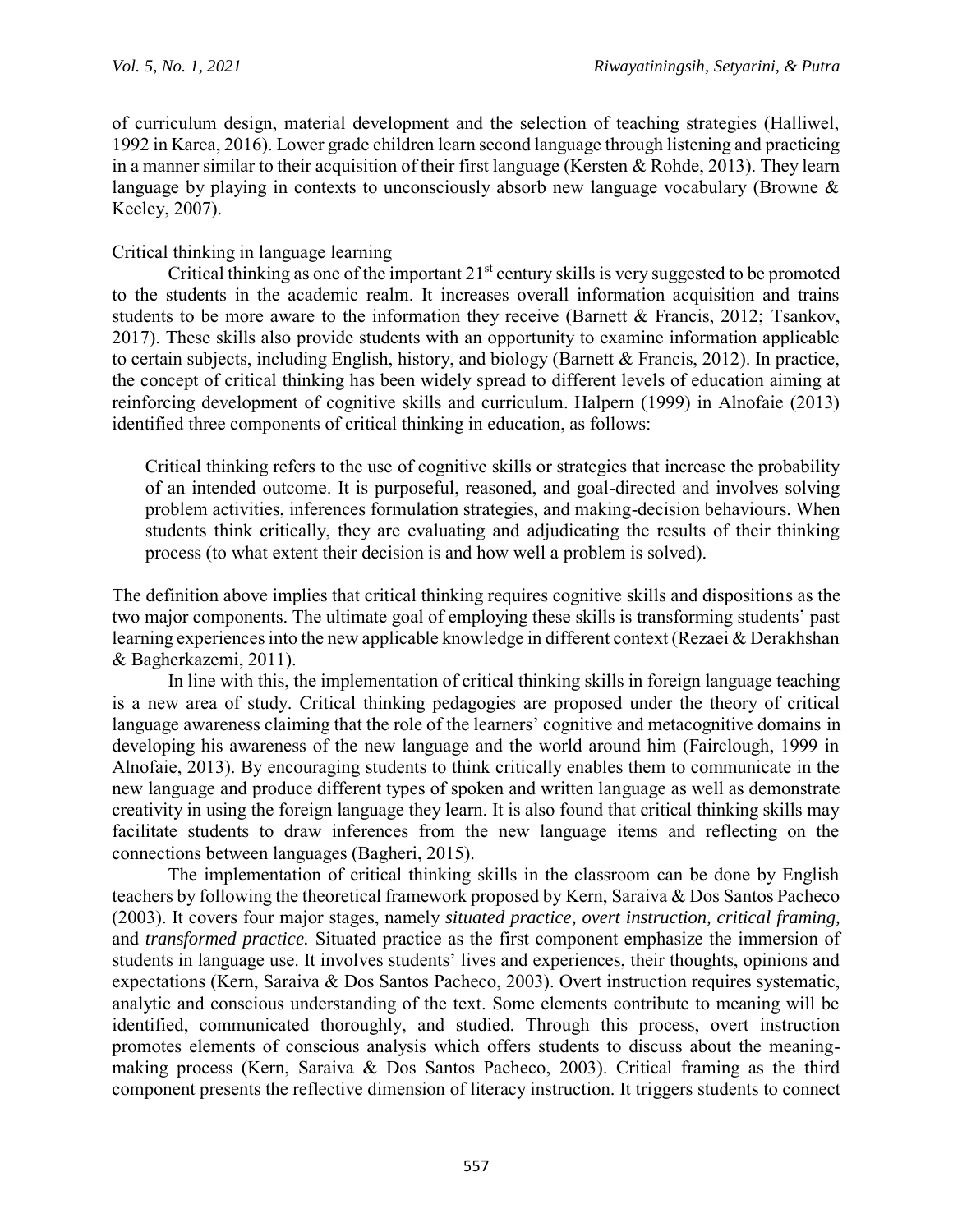of curriculum design, material development and the selection of teaching strategies (Halliwel, 1992 in Karea, 2016). Lower grade children learn second language through listening and practicing in a manner similar to their acquisition of their first language (Kersten & Rohde, 2013). They learn language by playing in contexts to unconsciously absorb new language vocabulary (Browne & Keeley, 2007).

### Critical thinking in language learning

Critical thinking as one of the important  $21<sup>st</sup>$  century skills is very suggested to be promoted to the students in the academic realm. It increases overall information acquisition and trains students to be more aware to the information they receive (Barnett & Francis, 2012; Tsankov, 2017). These skills also provide students with an opportunity to examine information applicable to certain subjects, including English, history, and biology (Barnett & Francis, 2012). In practice, the concept of critical thinking has been widely spread to different levels of education aiming at reinforcing development of cognitive skills and curriculum. Halpern (1999) in Alnofaie (2013) identified three components of critical thinking in education, as follows:

Critical thinking refers to the use of cognitive skills or strategies that increase the probability of an intended outcome. It is purposeful, reasoned, and goal-directed and involves solving problem activities, inferences formulation strategies, and making-decision behaviours. When students think critically, they are evaluating and adjudicating the results of their thinking process (to what extent their decision is and how well a problem is solved).

The definition above implies that critical thinking requires cognitive skills and dispositions as the two major components. The ultimate goal of employing these skills is transforming students' past learning experiences into the new applicable knowledge in different context (Rezaei & Derakhshan & Bagherkazemi, 2011).

In line with this, the implementation of critical thinking skills in foreign language teaching is a new area of study. Critical thinking pedagogies are proposed under the theory of critical language awareness claiming that the role of the learners' cognitive and metacognitive domains in developing his awareness of the new language and the world around him (Fairclough, 1999 in Alnofaie, 2013). By encouraging students to think critically enables them to communicate in the new language and produce different types of spoken and written language as well as demonstrate creativity in using the foreign language they learn. It is also found that critical thinking skills may facilitate students to draw inferences from the new language items and reflecting on the connections between languages (Bagheri, 2015).

The implementation of critical thinking skills in the classroom can be done by English teachers by following the theoretical framework proposed by Kern, Saraiva & Dos Santos Pacheco (2003). It covers four major stages, namely *situated practice, overt instruction, critical framing,*  and *transformed practice.* Situated practice as the first component emphasize the immersion of students in language use. It involves students' lives and experiences, their thoughts, opinions and expectations (Kern, Saraiva & Dos Santos Pacheco, 2003). Overt instruction requires systematic, analytic and conscious understanding of the text. Some elements contribute to meaning will be identified, communicated thoroughly, and studied. Through this process, overt instruction promotes elements of conscious analysis which offers students to discuss about the meaningmaking process (Kern, Saraiva & Dos Santos Pacheco, 2003). Critical framing as the third component presents the reflective dimension of literacy instruction. It triggers students to connect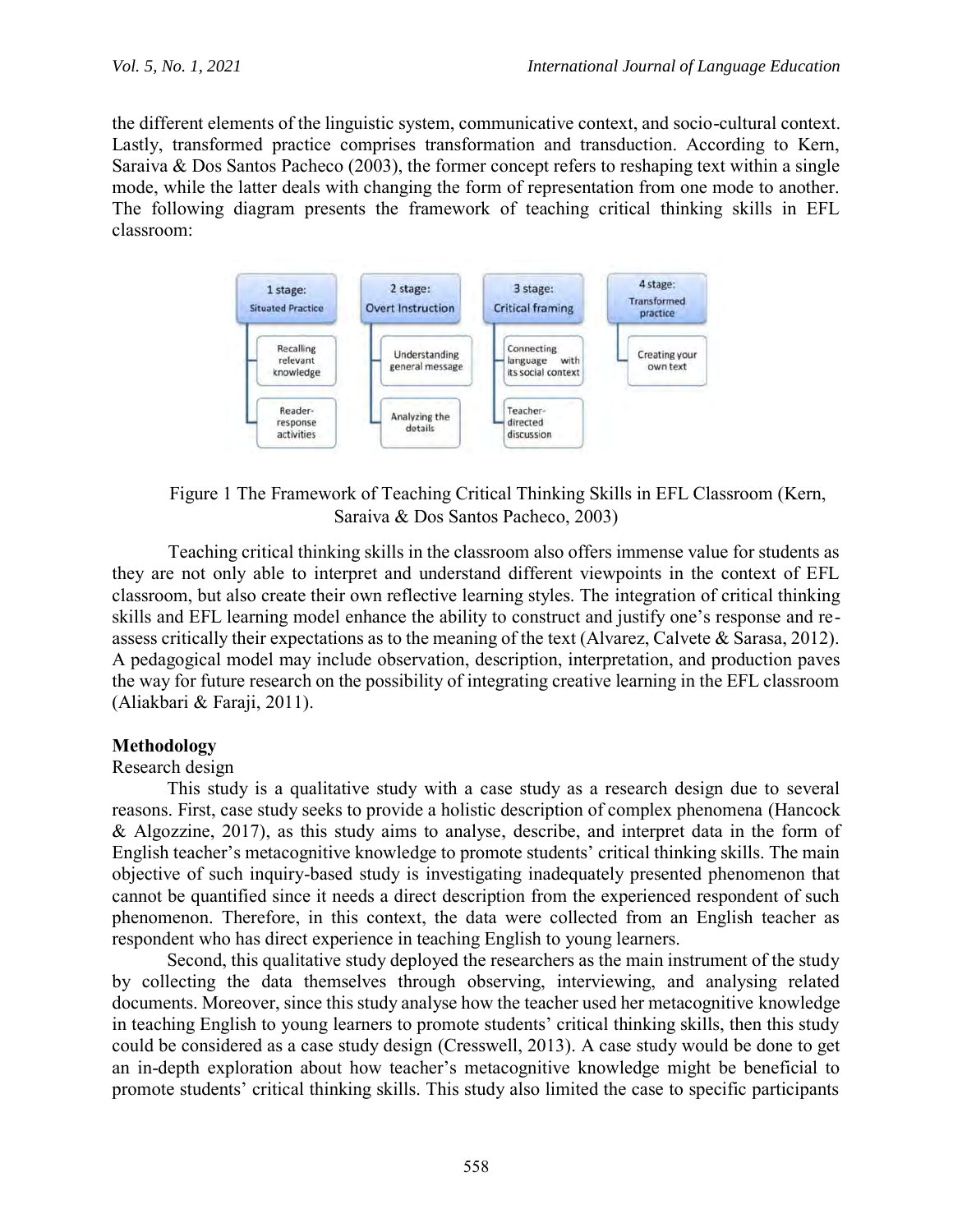the different elements of the linguistic system, communicative context, and socio-cultural context. Lastly, transformed practice comprises transformation and transduction. According to Kern, Saraiva & Dos Santos Pacheco (2003), the former concept refers to reshaping text within a single mode, while the latter deals with changing the form of representation from one mode to another. The following diagram presents the framework of teaching critical thinking skills in EFL classroom:



Figure 1 The Framework of Teaching Critical Thinking Skills in EFL Classroom (Kern, Saraiva & Dos Santos Pacheco, 2003)

Teaching critical thinking skills in the classroom also offers immense value for students as they are not only able to interpret and understand different viewpoints in the context of EFL classroom, but also create their own reflective learning styles. The integration of critical thinking skills and EFL learning model enhance the ability to construct and justify one's response and reassess critically their expectations as to the meaning of the text (Alvarez, Calvete & Sarasa, 2012). A pedagogical model may include observation, description, interpretation, and production paves the way for future research on the possibility of integrating creative learning in the EFL classroom (Aliakbari & Faraji, 2011).

## **Methodology**

#### Research design

This study is a qualitative study with a case study as a research design due to several reasons. First, case study seeks to provide a holistic description of complex phenomena (Hancock & Algozzine, 2017), as this study aims to analyse, describe, and interpret data in the form of English teacher's metacognitive knowledge to promote students' critical thinking skills. The main objective of such inquiry-based study is investigating inadequately presented phenomenon that cannot be quantified since it needs a direct description from the experienced respondent of such phenomenon. Therefore, in this context, the data were collected from an English teacher as respondent who has direct experience in teaching English to young learners.

Second, this qualitative study deployed the researchers as the main instrument of the study by collecting the data themselves through observing, interviewing, and analysing related documents. Moreover, since this study analyse how the teacher used her metacognitive knowledge in teaching English to young learners to promote students' critical thinking skills, then this study could be considered as a case study design (Cresswell, 2013). A case study would be done to get an in-depth exploration about how teacher's metacognitive knowledge might be beneficial to promote students' critical thinking skills. This study also limited the case to specific participants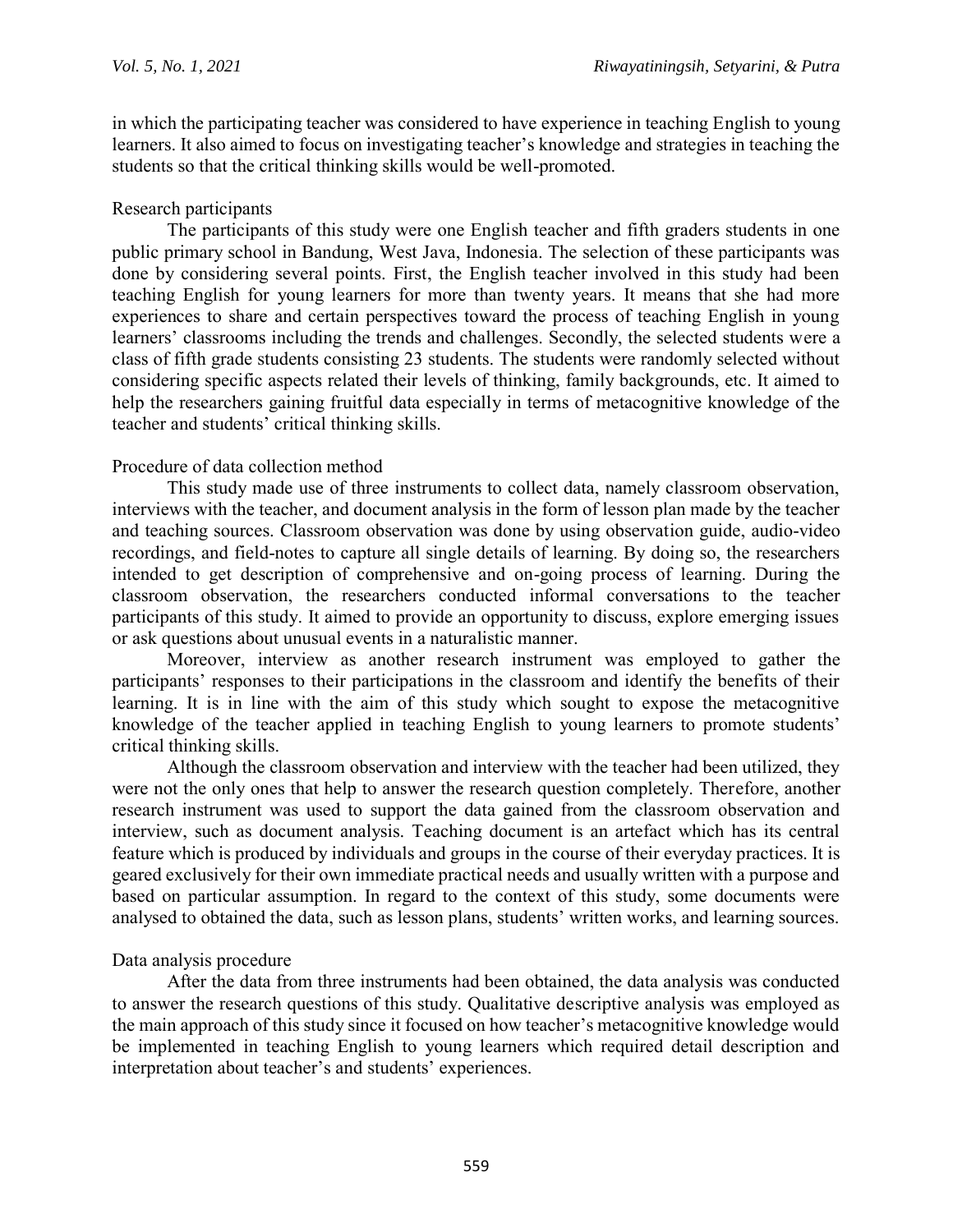in which the participating teacher was considered to have experience in teaching English to young learners. It also aimed to focus on investigating teacher's knowledge and strategies in teaching the students so that the critical thinking skills would be well-promoted.

## Research participants

The participants of this study were one English teacher and fifth graders students in one public primary school in Bandung, West Java, Indonesia. The selection of these participants was done by considering several points. First, the English teacher involved in this study had been teaching English for young learners for more than twenty years. It means that she had more experiences to share and certain perspectives toward the process of teaching English in young learners' classrooms including the trends and challenges. Secondly, the selected students were a class of fifth grade students consisting 23 students. The students were randomly selected without considering specific aspects related their levels of thinking, family backgrounds, etc. It aimed to help the researchers gaining fruitful data especially in terms of metacognitive knowledge of the teacher and students' critical thinking skills.

### Procedure of data collection method

This study made use of three instruments to collect data, namely classroom observation, interviews with the teacher, and document analysis in the form of lesson plan made by the teacher and teaching sources. Classroom observation was done by using observation guide, audio-video recordings, and field-notes to capture all single details of learning. By doing so, the researchers intended to get description of comprehensive and on-going process of learning. During the classroom observation, the researchers conducted informal conversations to the teacher participants of this study. It aimed to provide an opportunity to discuss, explore emerging issues or ask questions about unusual events in a naturalistic manner.

Moreover, interview as another research instrument was employed to gather the participants' responses to their participations in the classroom and identify the benefits of their learning. It is in line with the aim of this study which sought to expose the metacognitive knowledge of the teacher applied in teaching English to young learners to promote students' critical thinking skills.

Although the classroom observation and interview with the teacher had been utilized, they were not the only ones that help to answer the research question completely. Therefore, another research instrument was used to support the data gained from the classroom observation and interview, such as document analysis. Teaching document is an artefact which has its central feature which is produced by individuals and groups in the course of their everyday practices. It is geared exclusively for their own immediate practical needs and usually written with a purpose and based on particular assumption. In regard to the context of this study, some documents were analysed to obtained the data, such as lesson plans, students' written works, and learning sources.

## Data analysis procedure

After the data from three instruments had been obtained, the data analysis was conducted to answer the research questions of this study. Qualitative descriptive analysis was employed as the main approach of this study since it focused on how teacher's metacognitive knowledge would be implemented in teaching English to young learners which required detail description and interpretation about teacher's and students' experiences.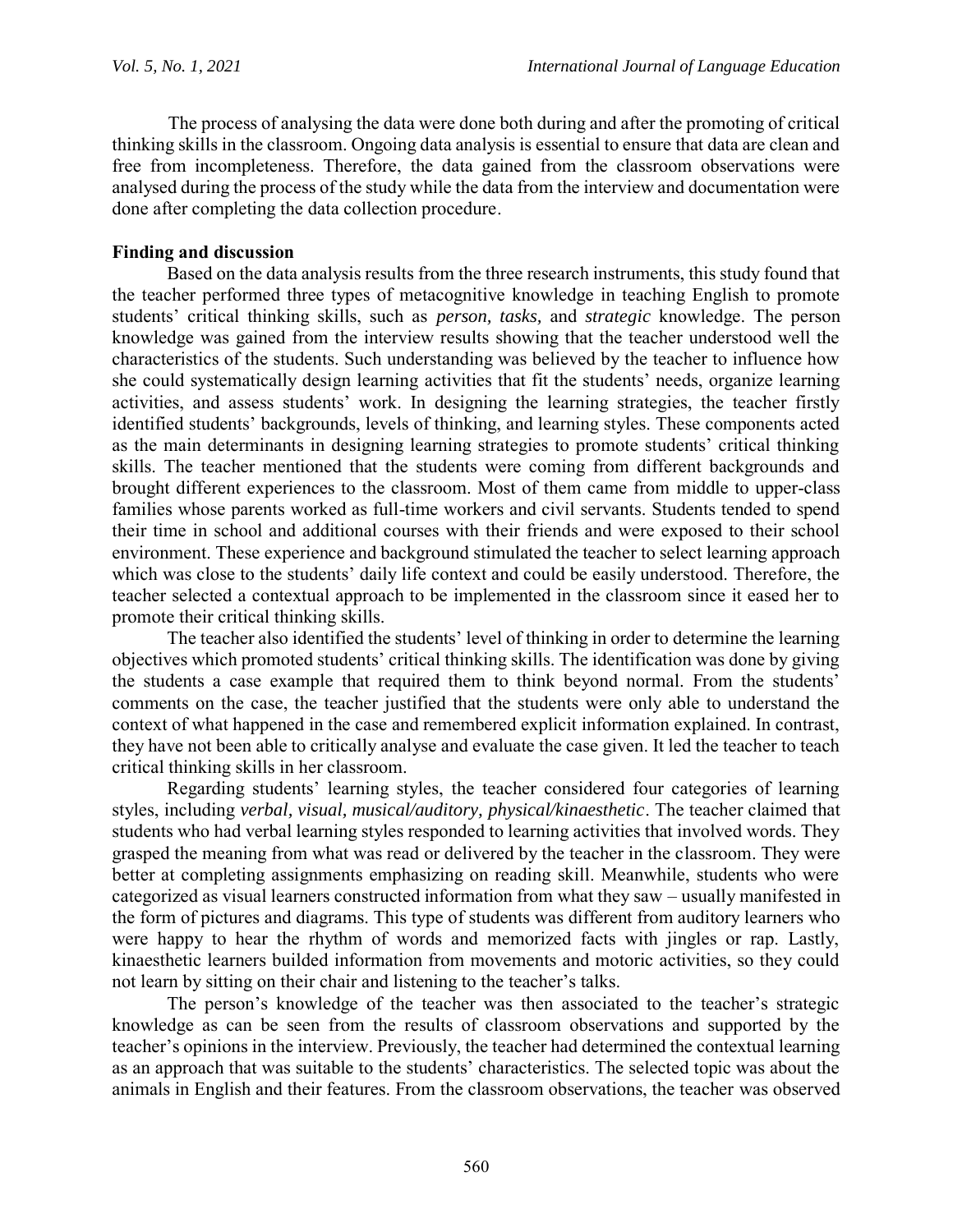The process of analysing the data were done both during and after the promoting of critical thinking skills in the classroom. Ongoing data analysis is essential to ensure that data are clean and free from incompleteness. Therefore, the data gained from the classroom observations were analysed during the process of the study while the data from the interview and documentation were done after completing the data collection procedure.

### **Finding and discussion**

Based on the data analysis results from the three research instruments, this study found that the teacher performed three types of metacognitive knowledge in teaching English to promote students' critical thinking skills, such as *person, tasks,* and *strategic* knowledge. The person knowledge was gained from the interview results showing that the teacher understood well the characteristics of the students. Such understanding was believed by the teacher to influence how she could systematically design learning activities that fit the students' needs, organize learning activities, and assess students' work. In designing the learning strategies, the teacher firstly identified students' backgrounds, levels of thinking, and learning styles. These components acted as the main determinants in designing learning strategies to promote students' critical thinking skills. The teacher mentioned that the students were coming from different backgrounds and brought different experiences to the classroom. Most of them came from middle to upper-class families whose parents worked as full-time workers and civil servants. Students tended to spend their time in school and additional courses with their friends and were exposed to their school environment. These experience and background stimulated the teacher to select learning approach which was close to the students' daily life context and could be easily understood. Therefore, the teacher selected a contextual approach to be implemented in the classroom since it eased her to promote their critical thinking skills.

The teacher also identified the students' level of thinking in order to determine the learning objectives which promoted students' critical thinking skills. The identification was done by giving the students a case example that required them to think beyond normal. From the students' comments on the case, the teacher justified that the students were only able to understand the context of what happened in the case and remembered explicit information explained. In contrast, they have not been able to critically analyse and evaluate the case given. It led the teacher to teach critical thinking skills in her classroom.

Regarding students' learning styles, the teacher considered four categories of learning styles, including *verbal, visual, musical/auditory, physical/kinaesthetic*. The teacher claimed that students who had verbal learning styles responded to learning activities that involved words. They grasped the meaning from what was read or delivered by the teacher in the classroom. They were better at completing assignments emphasizing on reading skill. Meanwhile, students who were categorized as visual learners constructed information from what they saw – usually manifested in the form of pictures and diagrams. This type of students was different from auditory learners who were happy to hear the rhythm of words and memorized facts with jingles or rap. Lastly, kinaesthetic learners builded information from movements and motoric activities, so they could not learn by sitting on their chair and listening to the teacher's talks.

The person's knowledge of the teacher was then associated to the teacher's strategic knowledge as can be seen from the results of classroom observations and supported by the teacher's opinions in the interview. Previously, the teacher had determined the contextual learning as an approach that was suitable to the students' characteristics. The selected topic was about the animals in English and their features. From the classroom observations, the teacher was observed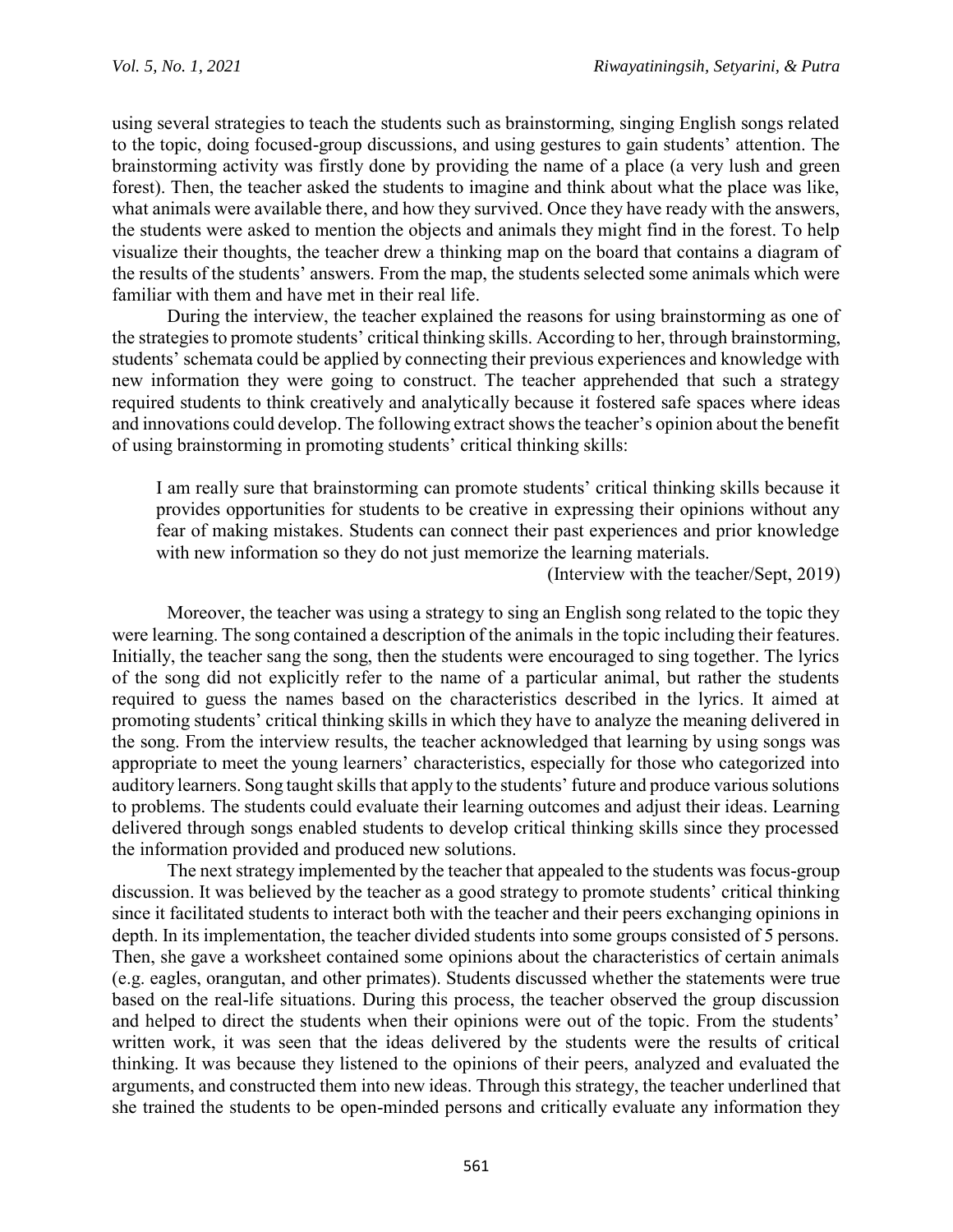using several strategies to teach the students such as brainstorming, singing English songs related to the topic, doing focused-group discussions, and using gestures to gain students' attention. The brainstorming activity was firstly done by providing the name of a place (a very lush and green forest). Then, the teacher asked the students to imagine and think about what the place was like, what animals were available there, and how they survived. Once they have ready with the answers, the students were asked to mention the objects and animals they might find in the forest. To help visualize their thoughts, the teacher drew a thinking map on the board that contains a diagram of the results of the students' answers. From the map, the students selected some animals which were familiar with them and have met in their real life.

During the interview, the teacher explained the reasons for using brainstorming as one of the strategies to promote students' critical thinking skills. According to her, through brainstorming, students' schemata could be applied by connecting their previous experiences and knowledge with new information they were going to construct. The teacher apprehended that such a strategy required students to think creatively and analytically because it fostered safe spaces where ideas and innovations could develop. The following extract shows the teacher's opinion about the benefit of using brainstorming in promoting students' critical thinking skills:

I am really sure that brainstorming can promote students' critical thinking skills because it provides opportunities for students to be creative in expressing their opinions without any fear of making mistakes. Students can connect their past experiences and prior knowledge with new information so they do not just memorize the learning materials.

(Interview with the teacher/Sept, 2019)

Moreover, the teacher was using a strategy to sing an English song related to the topic they were learning. The song contained a description of the animals in the topic including their features. Initially, the teacher sang the song, then the students were encouraged to sing together. The lyrics of the song did not explicitly refer to the name of a particular animal, but rather the students required to guess the names based on the characteristics described in the lyrics. It aimed at promoting students' critical thinking skills in which they have to analyze the meaning delivered in the song. From the interview results, the teacher acknowledged that learning by using songs was appropriate to meet the young learners' characteristics, especially for those who categorized into auditory learners. Song taught skills that apply to the students' future and produce various solutions to problems. The students could evaluate their learning outcomes and adjust their ideas. Learning delivered through songs enabled students to develop critical thinking skills since they processed the information provided and produced new solutions.

The next strategy implemented by the teacher that appealed to the students was focus-group discussion. It was believed by the teacher as a good strategy to promote students' critical thinking since it facilitated students to interact both with the teacher and their peers exchanging opinions in depth. In its implementation, the teacher divided students into some groups consisted of 5 persons. Then, she gave a worksheet contained some opinions about the characteristics of certain animals (e.g. eagles, orangutan, and other primates). Students discussed whether the statements were true based on the real-life situations. During this process, the teacher observed the group discussion and helped to direct the students when their opinions were out of the topic. From the students' written work, it was seen that the ideas delivered by the students were the results of critical thinking. It was because they listened to the opinions of their peers, analyzed and evaluated the arguments, and constructed them into new ideas. Through this strategy, the teacher underlined that she trained the students to be open-minded persons and critically evaluate any information they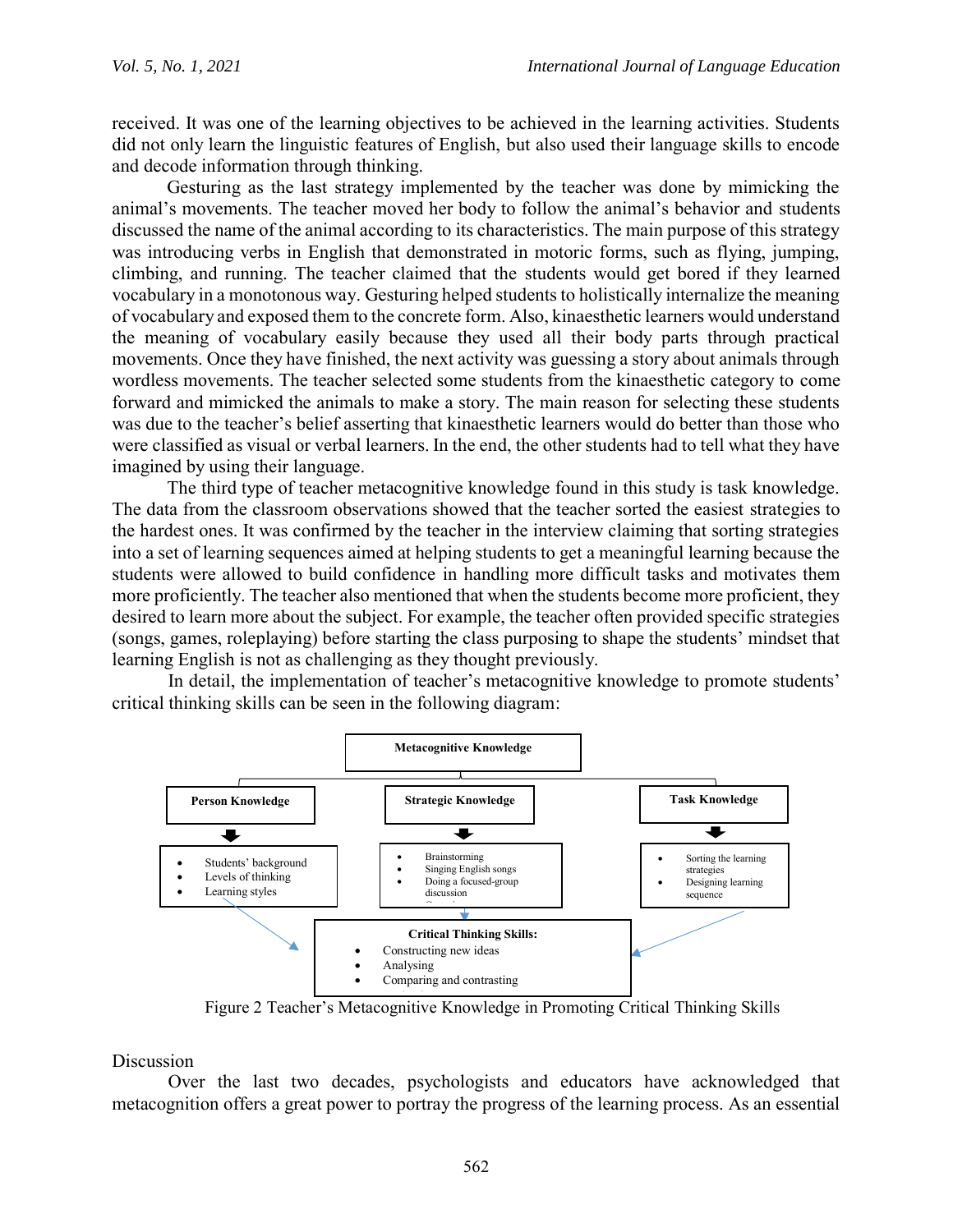received. It was one of the learning objectives to be achieved in the learning activities. Students did not only learn the linguistic features of English, but also used their language skills to encode and decode information through thinking.

Gesturing as the last strategy implemented by the teacher was done by mimicking the animal's movements. The teacher moved her body to follow the animal's behavior and students discussed the name of the animal according to its characteristics. The main purpose of this strategy was introducing verbs in English that demonstrated in motoric forms, such as flying, jumping, climbing, and running. The teacher claimed that the students would get bored if they learned vocabulary in a monotonous way. Gesturing helped students to holistically internalize the meaning of vocabulary and exposed them to the concrete form. Also, kinaesthetic learners would understand the meaning of vocabulary easily because they used all their body parts through practical movements. Once they have finished, the next activity was guessing a story about animals through wordless movements. The teacher selected some students from the kinaesthetic category to come forward and mimicked the animals to make a story. The main reason for selecting these students was due to the teacher's belief asserting that kinaesthetic learners would do better than those who were classified as visual or verbal learners. In the end, the other students had to tell what they have imagined by using their language.

The third type of teacher metacognitive knowledge found in this study is task knowledge. The data from the classroom observations showed that the teacher sorted the easiest strategies to the hardest ones. It was confirmed by the teacher in the interview claiming that sorting strategies into a set of learning sequences aimed at helping students to get a meaningful learning because the students were allowed to build confidence in handling more difficult tasks and motivates them more proficiently. The teacher also mentioned that when the students become more proficient, they desired to learn more about the subject. For example, the teacher often provided specific strategies (songs, games, roleplaying) before starting the class purposing to shape the students' mindset that learning English is not as challenging as they thought previously.

In detail, the implementation of teacher's metacognitive knowledge to promote students' critical thinking skills can be seen in the following diagram:



Figure 2 Teacher's Metacognitive Knowledge in Promoting Critical Thinking Skills

Discussion

Over the last two decades, psychologists and educators have acknowledged that metacognition offers a great power to portray the progress of the learning process. As an essential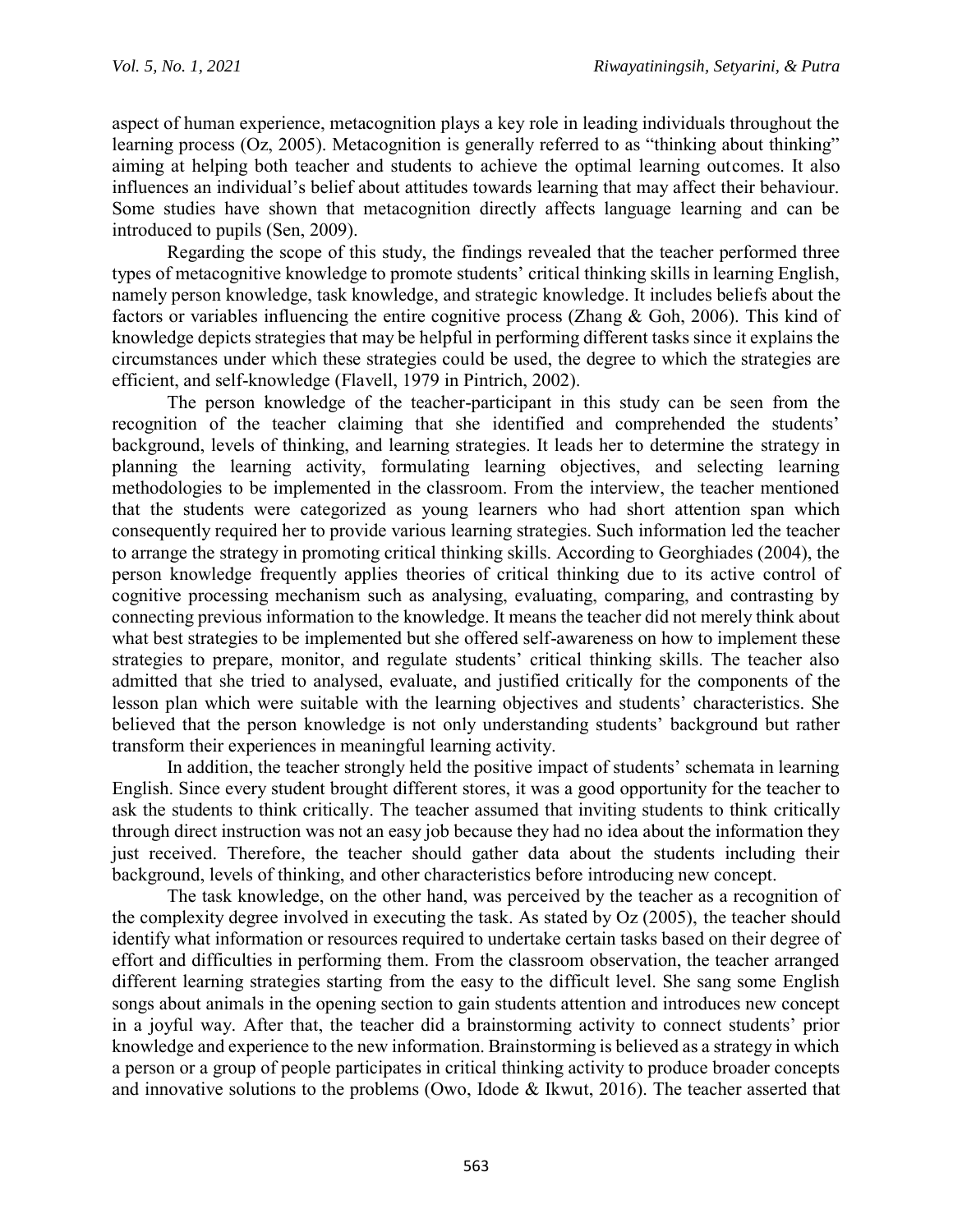aspect of human experience, metacognition plays a key role in leading individuals throughout the learning process (Oz, 2005). Metacognition is generally referred to as "thinking about thinking" aiming at helping both teacher and students to achieve the optimal learning outcomes. It also influences an individual's belief about attitudes towards learning that may affect their behaviour. Some studies have shown that metacognition directly affects language learning and can be introduced to pupils (Sen, 2009).

Regarding the scope of this study, the findings revealed that the teacher performed three types of metacognitive knowledge to promote students' critical thinking skills in learning English, namely person knowledge, task knowledge, and strategic knowledge. It includes beliefs about the factors or variables influencing the entire cognitive process (Zhang & Goh, 2006). This kind of knowledge depicts strategies that may be helpful in performing different tasks since it explains the circumstances under which these strategies could be used, the degree to which the strategies are efficient, and self-knowledge (Flavell, 1979 in Pintrich, 2002).

The person knowledge of the teacher-participant in this study can be seen from the recognition of the teacher claiming that she identified and comprehended the students' background, levels of thinking, and learning strategies. It leads her to determine the strategy in planning the learning activity, formulating learning objectives, and selecting learning methodologies to be implemented in the classroom. From the interview, the teacher mentioned that the students were categorized as young learners who had short attention span which consequently required her to provide various learning strategies. Such information led the teacher to arrange the strategy in promoting critical thinking skills. According to Georghiades (2004), the person knowledge frequently applies theories of critical thinking due to its active control of cognitive processing mechanism such as analysing, evaluating, comparing, and contrasting by connecting previous information to the knowledge. It means the teacher did not merely think about what best strategies to be implemented but she offered self-awareness on how to implement these strategies to prepare, monitor, and regulate students' critical thinking skills. The teacher also admitted that she tried to analysed, evaluate, and justified critically for the components of the lesson plan which were suitable with the learning objectives and students' characteristics. She believed that the person knowledge is not only understanding students' background but rather transform their experiences in meaningful learning activity.

In addition, the teacher strongly held the positive impact of students' schemata in learning English. Since every student brought different stores, it was a good opportunity for the teacher to ask the students to think critically. The teacher assumed that inviting students to think critically through direct instruction was not an easy job because they had no idea about the information they just received. Therefore, the teacher should gather data about the students including their background, levels of thinking, and other characteristics before introducing new concept.

The task knowledge, on the other hand, was perceived by the teacher as a recognition of the complexity degree involved in executing the task. As stated by Oz (2005), the teacher should identify what information or resources required to undertake certain tasks based on their degree of effort and difficulties in performing them. From the classroom observation, the teacher arranged different learning strategies starting from the easy to the difficult level. She sang some English songs about animals in the opening section to gain students attention and introduces new concept in a joyful way. After that, the teacher did a brainstorming activity to connect students' prior knowledge and experience to the new information. Brainstorming is believed as a strategy in which a person or a group of people participates in critical thinking activity to produce broader concepts and innovative solutions to the problems (Owo, Idode & Ikwut, 2016). The teacher asserted that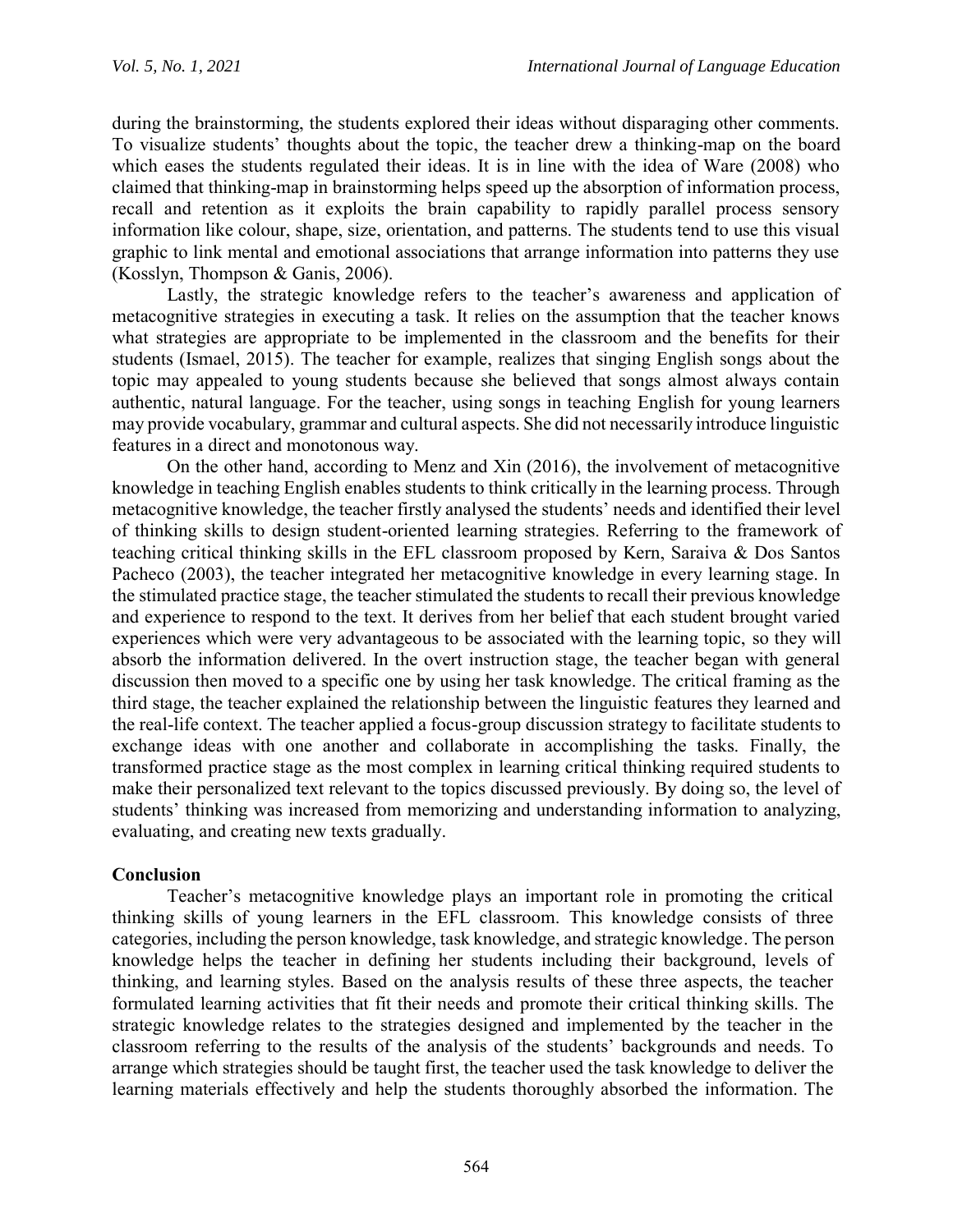during the brainstorming, the students explored their ideas without disparaging other comments. To visualize students' thoughts about the topic, the teacher drew a thinking-map on the board which eases the students regulated their ideas. It is in line with the idea of Ware (2008) who claimed that thinking-map in brainstorming helps speed up the absorption of information process, recall and retention as it exploits the brain capability to rapidly parallel process sensory information like colour, shape, size, orientation, and patterns. The students tend to use this visual graphic to link mental and emotional associations that arrange information into patterns they use (Kosslyn, Thompson & Ganis, 2006).

Lastly, the strategic knowledge refers to the teacher's awareness and application of metacognitive strategies in executing a task. It relies on the assumption that the teacher knows what strategies are appropriate to be implemented in the classroom and the benefits for their students (Ismael, 2015). The teacher for example, realizes that singing English songs about the topic may appealed to young students because she believed that songs almost always contain authentic, natural language. For the teacher, using songs in teaching English for young learners may provide vocabulary, grammar and cultural aspects. She did not necessarily introduce linguistic features in a direct and monotonous way.

On the other hand, according to Menz and Xin (2016), the involvement of metacognitive knowledge in teaching English enables students to think critically in the learning process. Through metacognitive knowledge, the teacher firstly analysed the students' needs and identified their level of thinking skills to design student-oriented learning strategies. Referring to the framework of teaching critical thinking skills in the EFL classroom proposed by Kern, Saraiva & Dos Santos Pacheco (2003), the teacher integrated her metacognitive knowledge in every learning stage. In the stimulated practice stage, the teacher stimulated the students to recall their previous knowledge and experience to respond to the text. It derives from her belief that each student brought varied experiences which were very advantageous to be associated with the learning topic, so they will absorb the information delivered. In the overt instruction stage, the teacher began with general discussion then moved to a specific one by using her task knowledge. The critical framing as the third stage, the teacher explained the relationship between the linguistic features they learned and the real-life context. The teacher applied a focus-group discussion strategy to facilitate students to exchange ideas with one another and collaborate in accomplishing the tasks. Finally, the transformed practice stage as the most complex in learning critical thinking required students to make their personalized text relevant to the topics discussed previously. By doing so, the level of students' thinking was increased from memorizing and understanding information to analyzing, evaluating, and creating new texts gradually.

## **Conclusion**

Teacher's metacognitive knowledge plays an important role in promoting the critical thinking skills of young learners in the EFL classroom. This knowledge consists of three categories, including the person knowledge, task knowledge, and strategic knowledge. The person knowledge helps the teacher in defining her students including their background, levels of thinking, and learning styles. Based on the analysis results of these three aspects, the teacher formulated learning activities that fit their needs and promote their critical thinking skills. The strategic knowledge relates to the strategies designed and implemented by the teacher in the classroom referring to the results of the analysis of the students' backgrounds and needs. To arrange which strategies should be taught first, the teacher used the task knowledge to deliver the learning materials effectively and help the students thoroughly absorbed the information. The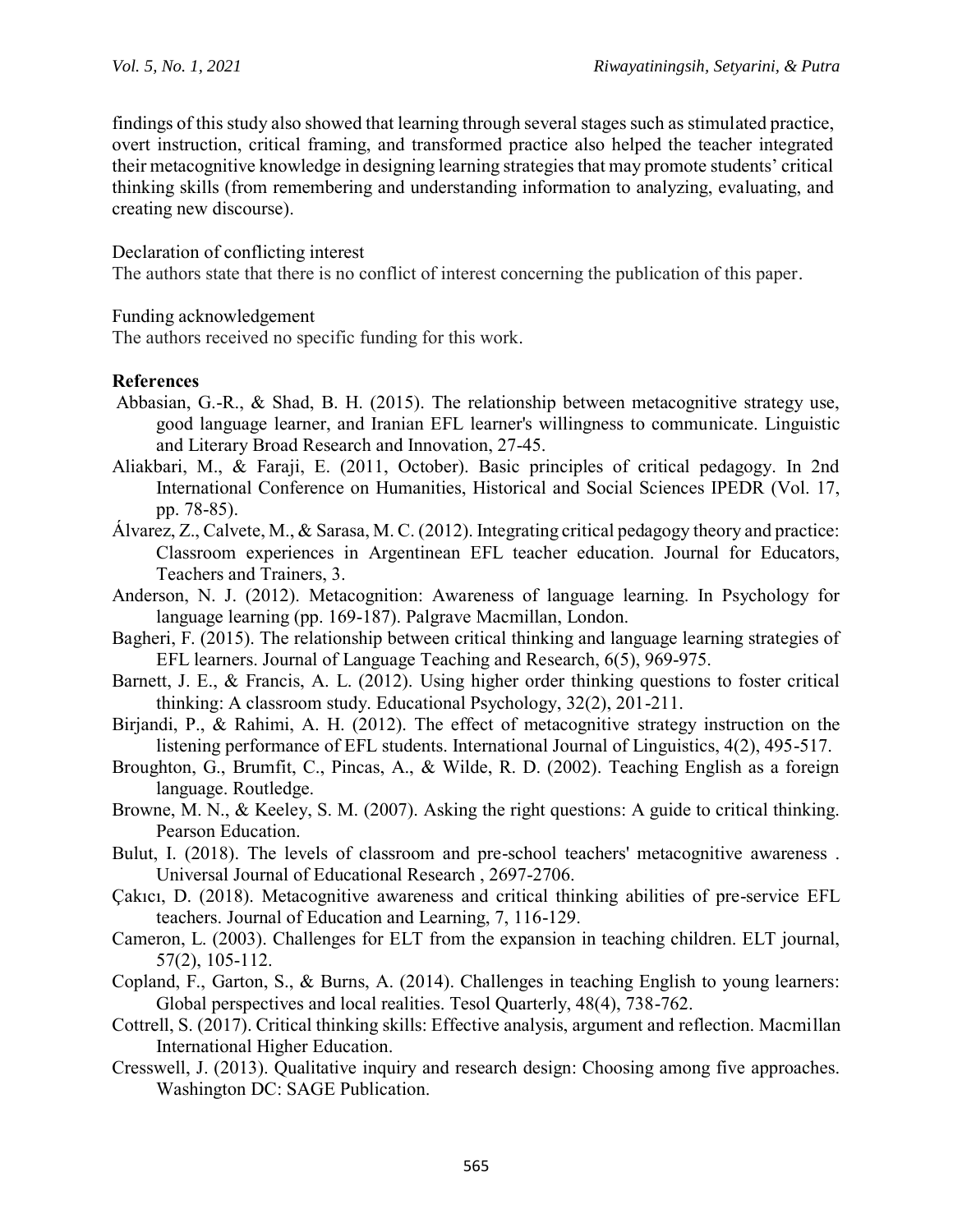findings of this study also showed that learning through several stages such as stimulated practice, overt instruction, critical framing, and transformed practice also helped the teacher integrated their metacognitive knowledge in designing learning strategies that may promote students' critical thinking skills (from remembering and understanding information to analyzing, evaluating, and creating new discourse).

### Declaration of conflicting interest

The authors state that there is no conflict of interest concerning the publication of this paper.

#### Funding acknowledgement

The authors received no specific funding for this work.

### **References**

- Abbasian, G.-R., & Shad, B. H. (2015). The relationship between metacognitive strategy use, good language learner, and Iranian EFL learner's willingness to communicate. Linguistic and Literary Broad Research and Innovation, 27-45.
- Aliakbari, M., & Faraji, E. (2011, October). Basic principles of critical pedagogy. In 2nd International Conference on Humanities, Historical and Social Sciences IPEDR (Vol. 17, pp. 78-85).
- Álvarez, Z., Calvete, M., & Sarasa, M. C. (2012). Integrating critical pedagogy theory and practice: Classroom experiences in Argentinean EFL teacher education. Journal for Educators, Teachers and Trainers, 3.
- Anderson, N. J. (2012). Metacognition: Awareness of language learning. In Psychology for language learning (pp. 169-187). Palgrave Macmillan, London.
- Bagheri, F. (2015). The relationship between critical thinking and language learning strategies of EFL learners. Journal of Language Teaching and Research, 6(5), 969-975.
- Barnett, J. E., & Francis, A. L. (2012). Using higher order thinking questions to foster critical thinking: A classroom study. Educational Psychology, 32(2), 201-211.
- Birjandi, P., & Rahimi, A. H. (2012). The effect of metacognitive strategy instruction on the listening performance of EFL students. International Journal of Linguistics, 4(2), 495-517.
- Broughton, G., Brumfit, C., Pincas, A., & Wilde, R. D. (2002). Teaching English as a foreign language. Routledge.
- Browne, M. N., & Keeley, S. M. (2007). Asking the right questions: A guide to critical thinking. Pearson Education.
- Bulut, I. (2018). The levels of classroom and pre-school teachers' metacognitive awareness . Universal Journal of Educational Research , 2697-2706.
- Çakıcı, D. (2018). Metacognitive awareness and critical thinking abilities of pre-service EFL teachers. Journal of Education and Learning, 7, 116-129.
- Cameron, L. (2003). Challenges for ELT from the expansion in teaching children. ELT journal, 57(2), 105-112.
- Copland, F., Garton, S., & Burns, A. (2014). Challenges in teaching English to young learners: Global perspectives and local realities. Tesol Quarterly, 48(4), 738-762.
- Cottrell, S. (2017). Critical thinking skills: Effective analysis, argument and reflection. Macmillan International Higher Education.
- Cresswell, J. (2013). Qualitative inquiry and research design: Choosing among five approaches. Washington DC: SAGE Publication.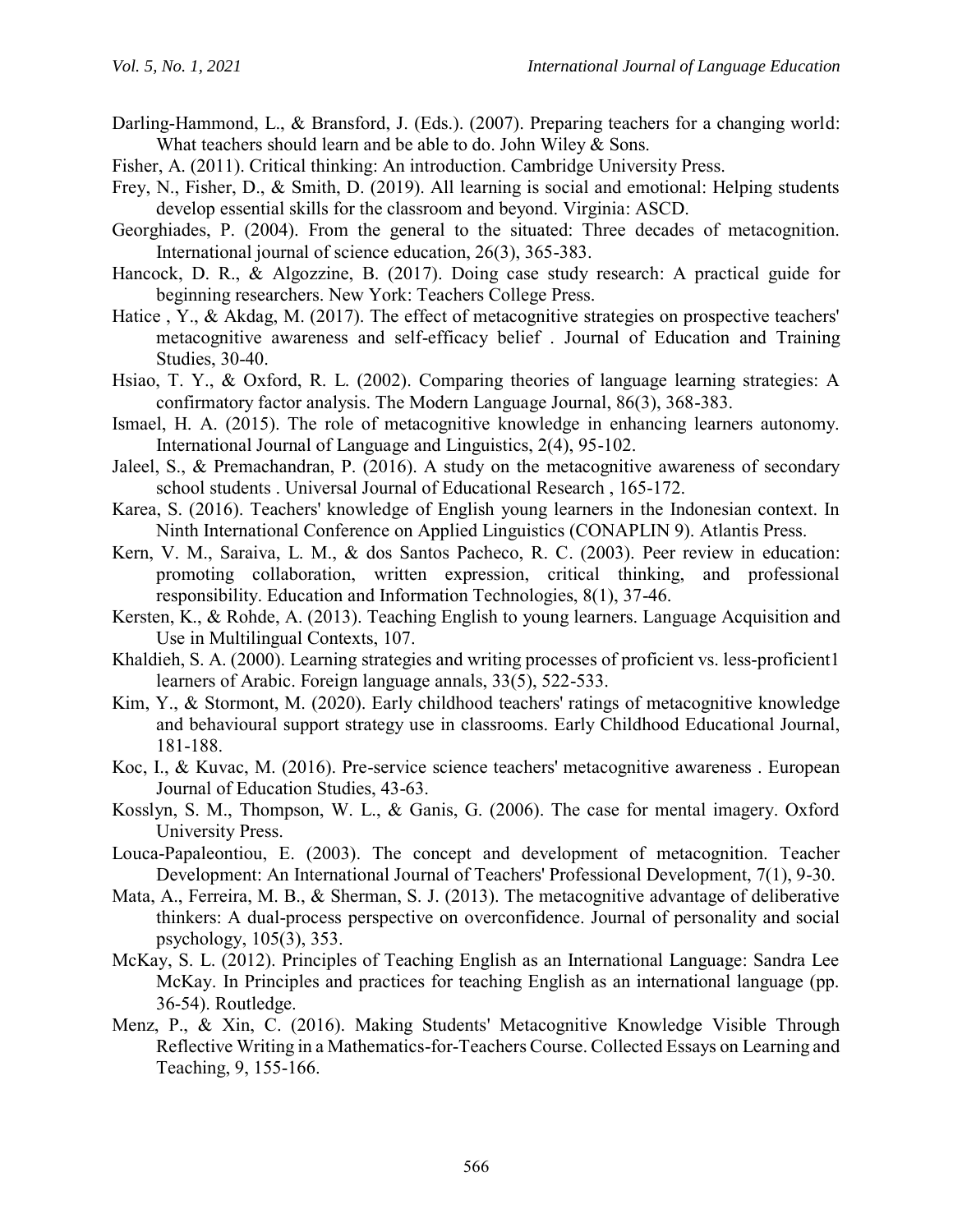- Darling-Hammond, L., & Bransford, J. (Eds.). (2007). Preparing teachers for a changing world: What teachers should learn and be able to do. John Wiley & Sons.
- Fisher, A. (2011). Critical thinking: An introduction. Cambridge University Press.
- Frey, N., Fisher, D., & Smith, D. (2019). All learning is social and emotional: Helping students develop essential skills for the classroom and beyond. Virginia: ASCD.
- Georghiades, P. (2004). From the general to the situated: Three decades of metacognition. International journal of science education, 26(3), 365-383.
- Hancock, D. R., & Algozzine, B. (2017). Doing case study research: A practical guide for beginning researchers. New York: Teachers College Press.
- Hatice, Y., & Akdag, M. (2017). The effect of metacognitive strategies on prospective teachers' metacognitive awareness and self-efficacy belief . Journal of Education and Training Studies, 30-40.
- Hsiao, T. Y., & Oxford, R. L. (2002). Comparing theories of language learning strategies: A confirmatory factor analysis. The Modern Language Journal, 86(3), 368-383.
- Ismael, H. A. (2015). The role of metacognitive knowledge in enhancing learners autonomy. International Journal of Language and Linguistics, 2(4), 95-102.
- Jaleel, S., & Premachandran, P. (2016). A study on the metacognitive awareness of secondary school students . Universal Journal of Educational Research , 165-172.
- Karea, S. (2016). Teachers' knowledge of English young learners in the Indonesian context. In Ninth International Conference on Applied Linguistics (CONAPLIN 9). Atlantis Press.
- Kern, V. M., Saraiva, L. M., & dos Santos Pacheco, R. C. (2003). Peer review in education: promoting collaboration, written expression, critical thinking, and professional responsibility. Education and Information Technologies, 8(1), 37-46.
- Kersten, K., & Rohde, A. (2013). Teaching English to young learners. Language Acquisition and Use in Multilingual Contexts, 107.
- Khaldieh, S. A. (2000). Learning strategies and writing processes of proficient vs. less-proficient1 learners of Arabic. Foreign language annals, 33(5), 522-533.
- Kim, Y., & Stormont, M. (2020). Early childhood teachers' ratings of metacognitive knowledge and behavioural support strategy use in classrooms. Early Childhood Educational Journal, 181-188.
- Koc, I., & Kuvac, M. (2016). Pre-service science teachers' metacognitive awareness . European Journal of Education Studies, 43-63.
- Kosslyn, S. M., Thompson, W. L., & Ganis, G. (2006). The case for mental imagery. Oxford University Press.
- Louca-Papaleontiou, E. (2003). The concept and development of metacognition. Teacher Development: An International Journal of Teachers' Professional Development, 7(1), 9-30.
- Mata, A., Ferreira, M. B., & Sherman, S. J. (2013). The metacognitive advantage of deliberative thinkers: A dual-process perspective on overconfidence. Journal of personality and social psychology, 105(3), 353.
- McKay, S. L. (2012). Principles of Teaching English as an International Language: Sandra Lee McKay. In Principles and practices for teaching English as an international language (pp. 36-54). Routledge.
- Menz, P., & Xin, C. (2016). Making Students' Metacognitive Knowledge Visible Through Reflective Writing in a Mathematics-for-Teachers Course. Collected Essays on Learning and Teaching, 9, 155-166.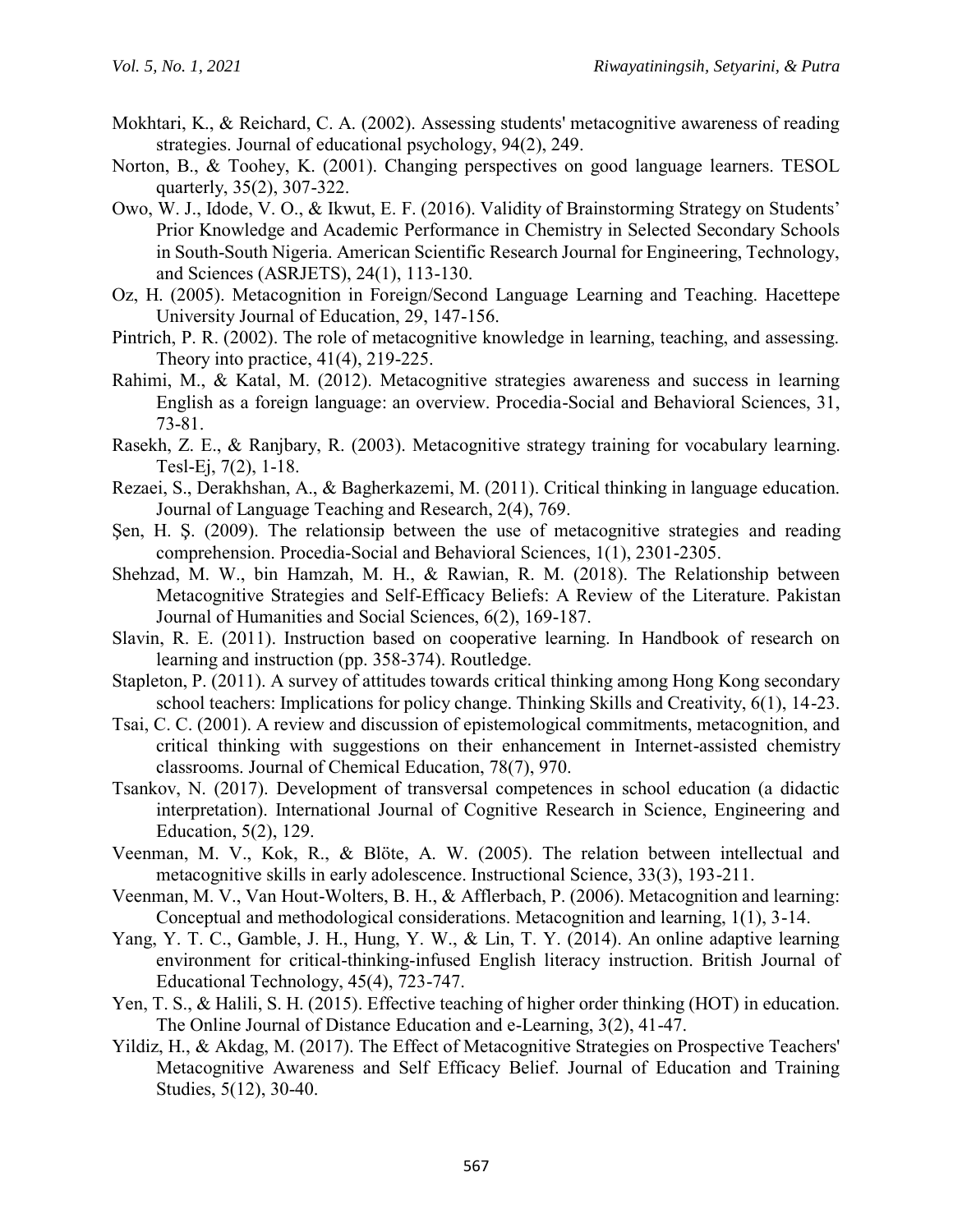- Mokhtari, K., & Reichard, C. A. (2002). Assessing students' metacognitive awareness of reading strategies. Journal of educational psychology, 94(2), 249.
- Norton, B., & Toohey, K. (2001). Changing perspectives on good language learners. TESOL quarterly, 35(2), 307-322.
- Owo, W. J., Idode, V. O., & Ikwut, E. F. (2016). Validity of Brainstorming Strategy on Students' Prior Knowledge and Academic Performance in Chemistry in Selected Secondary Schools in South-South Nigeria. American Scientific Research Journal for Engineering, Technology, and Sciences (ASRJETS), 24(1), 113-130.
- Oz, H. (2005). Metacognition in Foreign/Second Language Learning and Teaching. Hacettepe University Journal of Education, 29, 147-156.
- Pintrich, P. R. (2002). The role of metacognitive knowledge in learning, teaching, and assessing. Theory into practice, 41(4), 219-225.
- Rahimi, M., & Katal, M. (2012). Metacognitive strategies awareness and success in learning English as a foreign language: an overview. Procedia-Social and Behavioral Sciences, 31, 73-81.
- Rasekh, Z. E., & Ranjbary, R. (2003). Metacognitive strategy training for vocabulary learning. Tesl-Ej, 7(2), 1-18.
- Rezaei, S., Derakhshan, A., & Bagherkazemi, M. (2011). Critical thinking in language education. Journal of Language Teaching and Research, 2(4), 769.
- Şen, H. Ş. (2009). The relationsip between the use of metacognitive strategies and reading comprehension. Procedia-Social and Behavioral Sciences, 1(1), 2301-2305.
- Shehzad, M. W., bin Hamzah, M. H., & Rawian, R. M. (2018). The Relationship between Metacognitive Strategies and Self-Efficacy Beliefs: A Review of the Literature. Pakistan Journal of Humanities and Social Sciences, 6(2), 169-187.
- Slavin, R. E. (2011). Instruction based on cooperative learning. In Handbook of research on learning and instruction (pp. 358-374). Routledge.
- Stapleton, P. (2011). A survey of attitudes towards critical thinking among Hong Kong secondary school teachers: Implications for policy change. Thinking Skills and Creativity, 6(1), 14-23.
- Tsai, C. C. (2001). A review and discussion of epistemological commitments, metacognition, and critical thinking with suggestions on their enhancement in Internet-assisted chemistry classrooms. Journal of Chemical Education, 78(7), 970.
- Tsankov, N. (2017). Development of transversal competences in school education (a didactic interpretation). International Journal of Cognitive Research in Science, Engineering and Education, 5(2), 129.
- Veenman, M. V., Kok, R., & Blöte, A. W. (2005). The relation between intellectual and metacognitive skills in early adolescence. Instructional Science, 33(3), 193-211.
- Veenman, M. V., Van Hout-Wolters, B. H., & Afflerbach, P. (2006). Metacognition and learning: Conceptual and methodological considerations. Metacognition and learning, 1(1), 3-14.
- Yang, Y. T. C., Gamble, J. H., Hung, Y. W., & Lin, T. Y. (2014). An online adaptive learning environment for critical-thinking-infused English literacy instruction. British Journal of Educational Technology, 45(4), 723-747.
- Yen, T. S., & Halili, S. H. (2015). Effective teaching of higher order thinking (HOT) in education. The Online Journal of Distance Education and e-Learning, 3(2), 41-47.
- Yildiz, H., & Akdag, M. (2017). The Effect of Metacognitive Strategies on Prospective Teachers' Metacognitive Awareness and Self Efficacy Belief. Journal of Education and Training Studies, 5(12), 30-40.